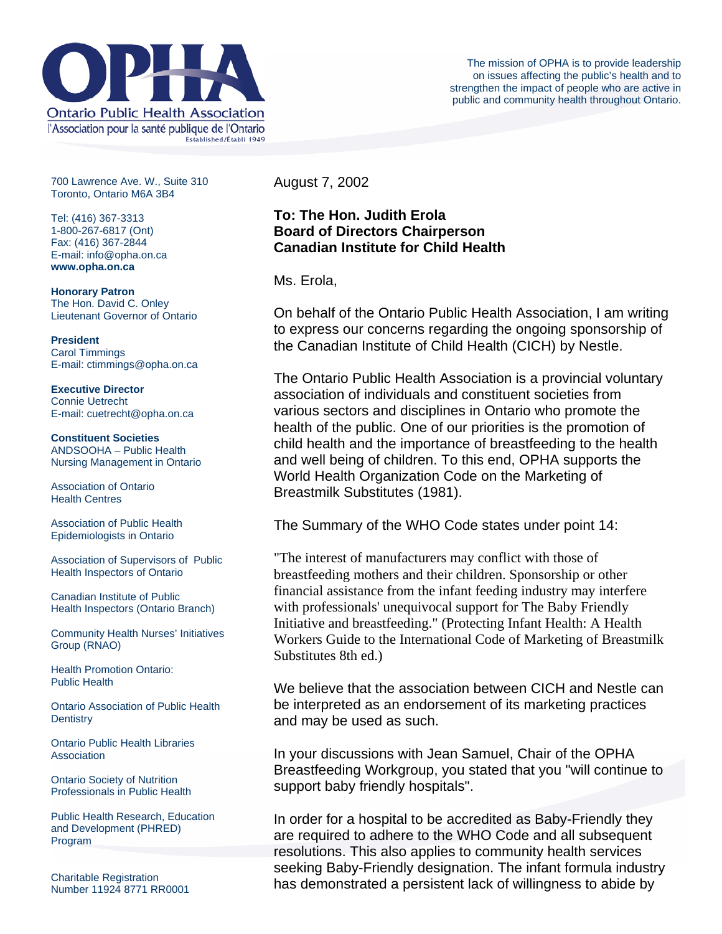

700 Lawrence Ave. W., Suite 310 Toronto, Ontario M6A 3B4

Tel: (416) 367-3313 1-800-267-6817 (Ont) Fax: (416) 367-2844 E-mail: info@opha.on.ca **www.opha.on.ca** 

**Honorary Patron**  The Hon. David C. Onley Lieutenant Governor of Ontario

**President**  Carol Timmings E-mail: ctimmings@opha.on.ca

**Executive Director**  Connie Uetrecht E-mail: cuetrecht@opha.on.ca

**Constituent Societies**  ANDSOOHA – Public Health Nursing Management in Ontario

Association of Ontario Health Centres

Association of Public Health Epidemiologists in Ontario

Association of Supervisors of Public Health Inspectors of Ontario

Canadian Institute of Public Health Inspectors (Ontario Branch)

Community Health Nurses' Initiatives Group (RNAO)

Health Promotion Ontario: Public Health

Ontario Association of Public Health **Dentistry** 

Ontario Public Health Libraries **Association** 

Ontario Society of Nutrition Professionals in Public Health

Public Health Research, Education and Development (PHRED) Program

Charitable Registration Number 11924 8771 RR0001 August 7, 2002

**To: The Hon. Judith Erola Board of Directors Chairperson Canadian Institute for Child Health**

Ms. Erola,

On behalf of the Ontario Public Health Association, I am writing to express our concerns regarding the ongoing sponsorship of the Canadian Institute of Child Health (CICH) by Nestle.

The Ontario Public Health Association is a provincial voluntary association of individuals and constituent societies from various sectors and disciplines in Ontario who promote the health of the public. One of our priorities is the promotion of child health and the importance of breastfeeding to the health and well being of children. To this end, OPHA supports the World Health Organization Code on the Marketing of Breastmilk Substitutes (1981).

The Summary of the WHO Code states under point 14:

"The interest of manufacturers may conflict with those of breastfeeding mothers and their children. Sponsorship or other financial assistance from the infant feeding industry may interfere with professionals' unequivocal support for The Baby Friendly Initiative and breastfeeding." (Protecting Infant Health: A Health Workers Guide to the International Code of Marketing of Breastmilk Substitutes 8th ed.)

We believe that the association between CICH and Nestle can be interpreted as an endorsement of its marketing practices and may be used as such.

In your discussions with Jean Samuel, Chair of the OPHA Breastfeeding Workgroup, you stated that you "will continue to support baby friendly hospitals".

In order for a hospital to be accredited as Baby-Friendly they are required to adhere to the WHO Code and all subsequent resolutions. This also applies to community health services seeking Baby-Friendly designation. The infant formula industry has demonstrated a persistent lack of willingness to abide by